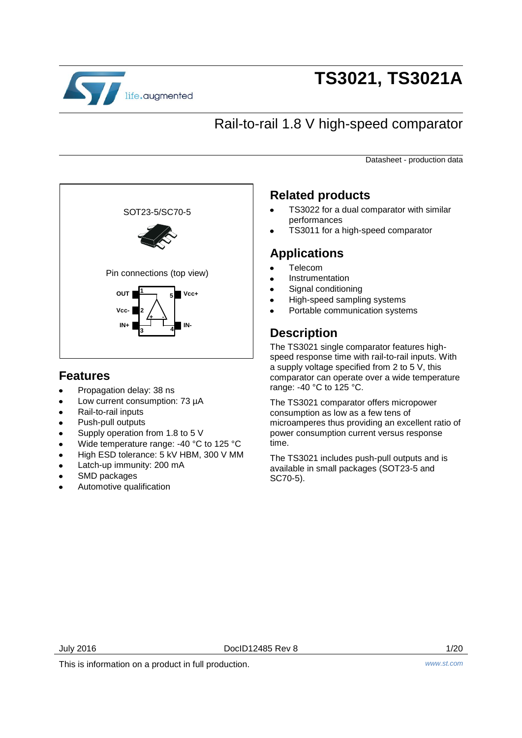

# **TS3021, TS3021A**

## Rail-to-rail 1.8 V high-speed comparator

Datasheet - production data



### **Features**

- Propagation delay: 38 ns
- Low current consumption: 73 µA
- Rail-to-rail inputs
- Push-pull outputs
- Supply operation from 1.8 to 5 V
- Wide temperature range: -40 °C to 125 °C
- High ESD tolerance: 5 kV HBM, 300 V MM
- Latch-up immunity: 200 mA
- SMD packages
- Automotive qualification

### **Related products**

- TS3022 for a dual comparator with similar performances
- TS3011 for a high-speed comparator

### **Applications**

- Telecom
- Instrumentation
- Signal conditioning
- High-speed sampling systems
- Portable communication systems

### **Description**

The TS3021 single comparator features highspeed response time with rail-to-rail inputs. With a supply voltage specified from 2 to 5 V, this comparator can operate over a wide temperature range: -40 °C to 125 °C.

The TS3021 comparator offers micropower consumption as low as a few tens of microamperes thus providing an excellent ratio of power consumption current versus response time.

The TS3021 includes push-pull outputs and is available in small packages (SOT23-5 and SC70-5).

This is information on a product in full production. *www.st.com*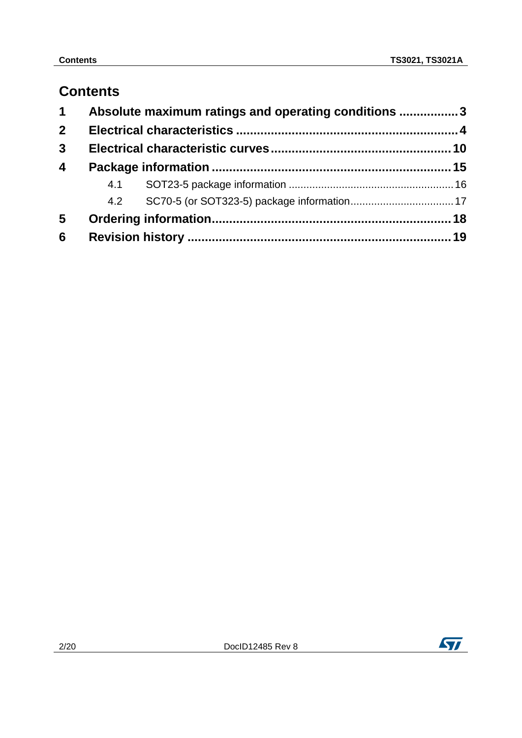## **Contents**

| $\mathbf 1$             | Absolute maximum ratings and operating conditions 3 |  |
|-------------------------|-----------------------------------------------------|--|
| 2 <sup>1</sup>          |                                                     |  |
| $\mathbf{3}$            |                                                     |  |
| $\overline{\mathbf{4}}$ |                                                     |  |
|                         |                                                     |  |
|                         |                                                     |  |
| 5                       |                                                     |  |
| $6\phantom{1}6$         |                                                     |  |

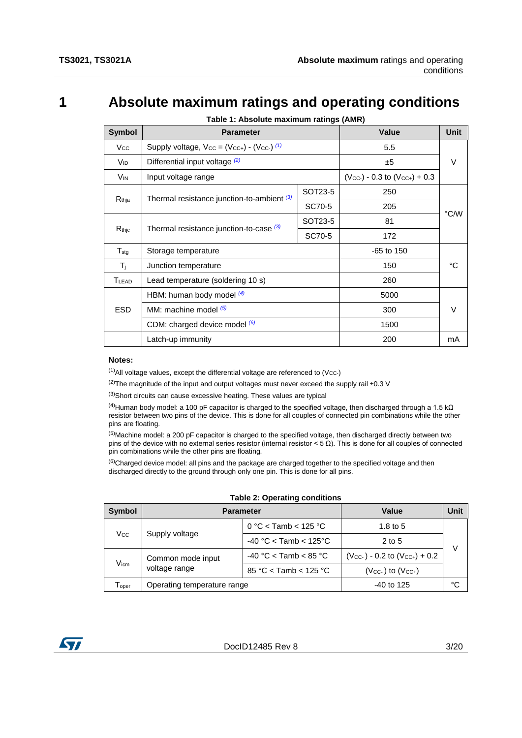## **1 Absolute maximum ratings and operating conditions**

<span id="page-2-4"></span><span id="page-2-0"></span>

| Table 1: Absolute maximum ratings (AMR) |                                                  |         |                                      |             |  |  |  |  |
|-----------------------------------------|--------------------------------------------------|---------|--------------------------------------|-------------|--|--|--|--|
| <b>Symbol</b>                           | <b>Parameter</b>                                 |         | Value                                | <b>Unit</b> |  |  |  |  |
| <b>V<sub>cc</sub></b>                   | Supply voltage, $Vec = (Vec)$ - $(Vec)$ ( $i)$ ) | 5.5     |                                      |             |  |  |  |  |
| V <sub>ID</sub>                         | Differential input voltage (2)                   |         | ±5                                   | V           |  |  |  |  |
| <b>V<sub>IN</sub></b>                   | Input voltage range                              |         | $(V_{CC} - 0.3$ to $(V_{CC+}) + 0.3$ |             |  |  |  |  |
|                                         |                                                  | SOT23-5 | 250                                  | °C/W        |  |  |  |  |
| $R_{thja}$                              | Thermal resistance junction-to-ambient (3)       | SC70-5  | 205                                  |             |  |  |  |  |
|                                         |                                                  | SOT23-5 | 81                                   |             |  |  |  |  |
| $R_{\text{thjc}}$                       | Thermal resistance junction-to-case (3)          | SC70-5  | 172                                  |             |  |  |  |  |
| $T_{\text{std}}$                        | Storage temperature                              |         | $-65$ to 150                         |             |  |  |  |  |
| $T_i$                                   | Junction temperature                             | 150     | °C                                   |             |  |  |  |  |
| <b>TLEAD</b>                            | Lead temperature (soldering 10 s)                | 260     |                                      |             |  |  |  |  |
|                                         | HBM: human body model $(4)$                      | 5000    |                                      |             |  |  |  |  |
| <b>ESD</b>                              | MM: machine model $(5)$                          | 300     | V                                    |             |  |  |  |  |
|                                         | CDM: charged device model (6)                    | 1500    |                                      |             |  |  |  |  |
|                                         | Latch-up immunity                                |         | 200                                  | mA          |  |  |  |  |

### **Notes:**

<span id="page-2-1"></span> $(1)$ All voltage values, except the differential voltage are referenced to (Vcc-)

<span id="page-2-2"></span> $(2)$ The magnitude of the input and output voltages must never exceed the supply rail  $\pm 0.3$  V

<span id="page-2-3"></span>(3)Short circuits can cause excessive heating. These values are typical

<span id="page-2-5"></span>(4)Human body model: a 100 pF capacitor is charged to the specified voltage, then discharged through a 1.5 kΩ resistor between two pins of the device. This is done for all couples of connected pin combinations while the other pins are floating.

<span id="page-2-6"></span>(5)Machine model: a 200 pF capacitor is charged to the specified voltage, then discharged directly between two pins of the device with no external series resistor (internal resistor < 5 Ω). This is done for all couples of connected pin combinations while the other pins are floating.

<span id="page-2-7"></span><sup>(6)</sup>Charged device model: all pins and the package are charged together to the specified voltage and then discharged directly to the ground through only one pin. This is done for all pins.

| <b>Symbol</b>    | <b>Parameter</b>            | Value                                       | Unit                                   |   |  |
|------------------|-----------------------------|---------------------------------------------|----------------------------------------|---|--|
|                  |                             | 0 °C < Tamb < 125 °C                        | 1.8 to $5$                             |   |  |
| Vcc              | Supply voltage              | $-40$ °C < Tamb < 125°C                     | $2$ to 5                               |   |  |
|                  | Common mode input           | $-40$ °C < Tamb < 85 °C                     | $(V_{CC}$ ) - 0.2 to $(V_{CC+})$ + 0.2 | V |  |
| $V_{\text{icm}}$ | voltage range               | $85 \text{ °C} <$ Tamb $<$ 125 $\text{ °C}$ | $(V_{CC}$ ) to $(V_{CC+})$             |   |  |
| l oper           | Operating temperature range | $-40$ to 125                                | °C                                     |   |  |

|  |  |  | <b>Table 2: Operating conditions</b> |
|--|--|--|--------------------------------------|
|--|--|--|--------------------------------------|

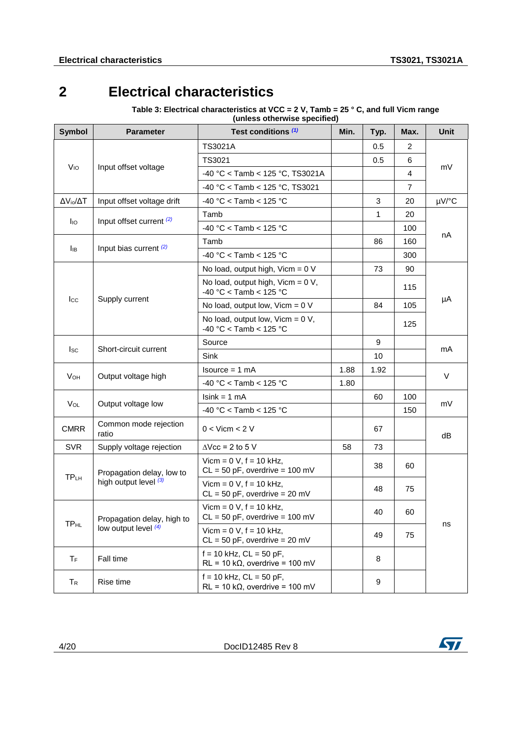## **2 Electrical characteristics**

<span id="page-3-2"></span><span id="page-3-1"></span><span id="page-3-0"></span>**Table 3: Electrical characteristics at VCC = 2 V, Tamb = 25 ° C, and full Vicm range (unless otherwise specified)**

| <b>Symbol</b>            | <b>Parameter</b>               | Test conditions (1)                                                   | Min. | Typ. | Max.           | <b>Unit</b> |  |  |
|--------------------------|--------------------------------|-----------------------------------------------------------------------|------|------|----------------|-------------|--|--|
|                          |                                | <b>TS3021A</b>                                                        |      | 0.5  | 2              |             |  |  |
| V <sub>IO</sub>          | Input offset voltage           | TS3021                                                                |      | 0.5  | 6              |             |  |  |
|                          |                                | -40 °C < Tamb < $125$ °C, TS3021A                                     |      |      | 4              | mV          |  |  |
|                          |                                | -40 °C < Tamb < $125$ °C, TS3021                                      |      |      | $\overline{7}$ |             |  |  |
| $\Delta V_{io}/\Delta T$ | Input offset voltage drift     | -40 °C < Tamb < $125$ °C                                              |      | 3    | 20             | µV/°C       |  |  |
|                          |                                | Tamb                                                                  |      | 1    | 20             |             |  |  |
| lio                      | Input offset current (2)       | -40 °C < Tamb < $125$ °C                                              |      |      | 100            |             |  |  |
|                          |                                | Tamb                                                                  |      | 86   | 160            | nA          |  |  |
| Iв                       | Input bias current $(2)$       | $-40$ °C < Tamb < 125 °C                                              |      |      | 300            |             |  |  |
|                          |                                | No load, output high, $Vicm = 0$ V                                    |      | 73   | 90             |             |  |  |
|                          |                                | No load, output high, $Vicm = 0 V$ ,<br>$-40 °C <$ Tamb < 125 °C      |      |      | 115            |             |  |  |
| $_{\text{Lcc}}$          | Supply current                 | No load, output low, $Vicm = 0$ V                                     |      | 84   | 105            | μA          |  |  |
|                          |                                | No load, output low, $Vicm = 0 V$ ,<br>$-40 °C <$ Tamb < 125 °C       |      |      | 125            |             |  |  |
|                          | Short-circuit current          | Source                                                                |      | 9    |                |             |  |  |
| $_{\rm lsc}$             |                                | Sink                                                                  |      | 10   |                | mA          |  |  |
|                          | Output voltage high            | $lsource = 1 mA$                                                      | 1.88 | 1.92 |                | $\vee$      |  |  |
| V <sub>OH</sub>          |                                | $-40$ °C < Tamb < 125 °C                                              | 1.80 |      |                |             |  |  |
|                          |                                | $lsink = 1 mA$                                                        |      | 60   | 100            |             |  |  |
| <b>Vol</b>               | Output voltage low             | $-40$ °C < Tamb < 125 °C                                              |      |      | 150            | mV          |  |  |
| <b>CMRR</b>              | Common mode rejection<br>ratio | $0 <$ Vicm $<$ 2 V                                                    |      | 67   |                | dB          |  |  |
| <b>SVR</b>               | Supply voltage rejection       | $\Delta$ Vcc = 2 to 5 V                                               | 58   | 73   |                |             |  |  |
|                          | Propagation delay, low to      | Vicm = $0 V$ , $f = 10 kHz$ ,<br>$CL = 50$ pF, overdrive = 100 mV     |      | 38   | 60             |             |  |  |
| <b>TPLH</b>              | high output level (3)          | Vicm = $0 V$ , $f = 10 kHz$ ,<br>$CL = 50$ pF, overdrive = 20 mV      |      | 48   | 75             |             |  |  |
|                          | Propagation delay, high to     | Vicm = $0 V$ , $f = 10 kHz$ ,<br>$CL = 50$ pF, overdrive = 100 mV     |      | 40   | 60             |             |  |  |
| <b>TP<sub>HL</sub></b>   | low output level $(4)$         | Vicm = $0 V$ , $f = 10 kHz$ ,<br>$CL = 50$ pF, overdrive = 20 mV      |      | 49   | 75             | ns          |  |  |
| ТF                       | Fall time                      | $f = 10$ kHz, $CL = 50$ pF,<br>$RL = 10 k\Omega$ , overdrive = 100 mV |      | 8    |                |             |  |  |
| $T_{R}$                  | Rise time                      | $f = 10$ kHz, $CL = 50$ pF,<br>$RL = 10 k\Omega$ , overdrive = 100 mV |      | 9    |                |             |  |  |

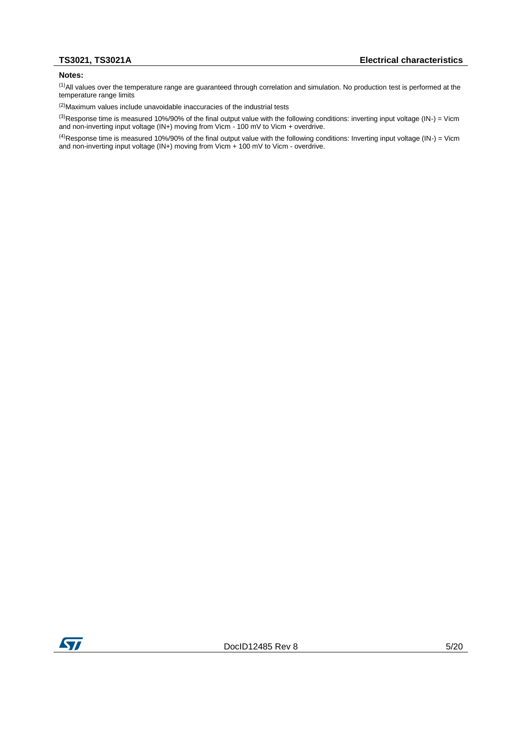### **Notes:**

<span id="page-4-0"></span>(1)All values over the temperature range are guaranteed through correlation and simulation. No production test is performed at the temperature range limits

<span id="page-4-1"></span>(2)Maximum values include unavoidable inaccuracies of the industrial tests

<span id="page-4-2"></span> $^{(3)}$ Response time is measured 10%/90% of the final output value with the following conditions: inverting input voltage (IN-) = Vicm and non-inverting input voltage (IN+) moving from Vicm - 100 mV to Vicm + overdrive.

<span id="page-4-4"></span><span id="page-4-3"></span> $^{(4)}$ Response time is measured 10%/90% of the final output value with the following conditions: Inverting input voltage (IN-) = Vicm and non-inverting input voltage (IN+) moving from Vicm + 100 mV to Vicm - overdrive.

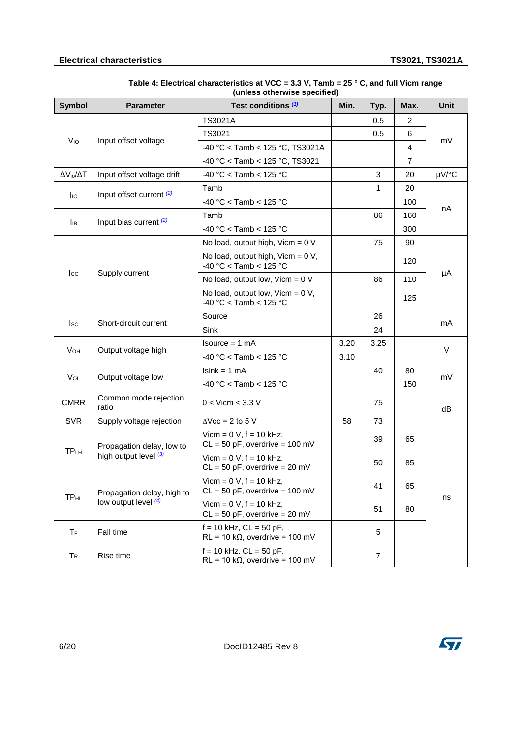<span id="page-5-0"></span>

| Table 4: Electrical characteristics at VCC = 3.3 V, Tamb = 25 $^{\circ}$ C, and full Vicm range |
|-------------------------------------------------------------------------------------------------|
| (unless otherwise specified)                                                                    |

| <b>Symbol</b>                   | <b>Parameter</b>               | Test conditions (1)                                                   | Min. | Typ. | Max.           | <b>Unit</b> |  |  |  |
|---------------------------------|--------------------------------|-----------------------------------------------------------------------|------|------|----------------|-------------|--|--|--|
|                                 |                                | TS3021A                                                               |      | 0.5  | $\overline{2}$ |             |  |  |  |
|                                 |                                | TS3021                                                                |      | 0.5  | 6              |             |  |  |  |
| V <sub>IO</sub>                 | Input offset voltage           | $-40$ °C < Tamb < 125 °C, TS3021A                                     |      |      | 4              | mV          |  |  |  |
|                                 |                                | -40 °C < Tamb < $125$ °C, TS3021                                      |      |      | $\overline{7}$ |             |  |  |  |
| $\Delta V_{\text{io}}/\Delta T$ | Input offset voltage drift     | $-40$ °C < Tamb < 125 °C                                              |      | 3    | 20             | $\mu V$ /°C |  |  |  |
|                                 |                                | Tamb                                                                  |      | 1    | 20             |             |  |  |  |
| $I_{IO}$                        | Input offset current (2)       | $-40$ °C < Tamb < 125 °C                                              |      |      | 100            |             |  |  |  |
|                                 |                                | Tamb                                                                  |      | 86   | 160            | nA          |  |  |  |
| Iв                              | Input bias current $(2)$       | $-40$ °C < Tamb < 125 °C                                              |      |      | 300            |             |  |  |  |
|                                 |                                | No load, output high, Vicm = $0 V$                                    |      | 75   | 90             |             |  |  |  |
|                                 |                                | No load, output high, $Vicm = 0 V$ ,<br>-40 °C < Tamb < $125$ °C      |      |      | 120            |             |  |  |  |
| $_{\rm lcc}$                    | Supply current                 | No load, output low, $Vicm = 0$ V                                     |      | 86   | 110            | μA          |  |  |  |
|                                 |                                | No load, output low, $Vicm = 0 V$ ,<br>$-40 °C <$ Tamb < 125 °C       |      |      | 125            |             |  |  |  |
|                                 | Short-circuit current          | Source                                                                |      | 26   |                | mA          |  |  |  |
| <b>I</b> sc                     |                                | Sink                                                                  |      | 24   |                |             |  |  |  |
|                                 | Output voltage high            | $lsource = 1 mA$                                                      | 3.20 | 3.25 |                |             |  |  |  |
| V <sub>OH</sub>                 |                                | -40 °C < Tamb < $125$ °C                                              | 3.10 |      |                | V           |  |  |  |
|                                 |                                | $lsink = 1 mA$                                                        |      | 40   | 80             |             |  |  |  |
| <b>Vol</b>                      | Output voltage low             | -40 °C < Tamb < 125 °C                                                |      |      | 150            | mV          |  |  |  |
| <b>CMRR</b>                     | Common mode rejection<br>ratio | $0 <$ Vicm $<$ 3.3 V                                                  |      | 75   |                | dB          |  |  |  |
| <b>SVR</b>                      | Supply voltage rejection       | $\Delta$ Vcc = 2 to 5 V                                               | 58   | 73   |                |             |  |  |  |
|                                 | Propagation delay, low to      | Vicm = $0 V$ , $f = 10 kHz$ ,<br>$CL = 50$ pF, overdrive = 100 mV     |      | 39   | 65             |             |  |  |  |
| <b>TPLH</b>                     | high output level (3)          | Vicm = $0 V$ , $f = 10 kHz$ ,<br>$CL = 50$ pF, overdrive = 20 mV      |      | 50   | 85             |             |  |  |  |
|                                 | Propagation delay, high to     | Vicm = $0 V$ , $f = 10 kHz$ ,<br>$CL = 50$ pF, overdrive = 100 mV     |      | 41   | 65             |             |  |  |  |
| <b>TPHL</b>                     | low output level $(4)$         | Vicm = $0 V$ , $f = 10 kHz$ ,<br>$CL = 50$ pF, overdrive = 20 mV      |      | 51   | 80             | ns          |  |  |  |
| TF                              | Fall time                      | $f = 10$ kHz, $CL = 50$ pF,<br>$RL = 10 k\Omega$ , overdrive = 100 mV |      | 5    |                |             |  |  |  |
| $T_{\sf R}$                     | Rise time                      | $f = 10$ kHz, $CL = 50$ pF,<br>$RL = 10 k\Omega$ , overdrive = 100 mV |      | 7    |                |             |  |  |  |

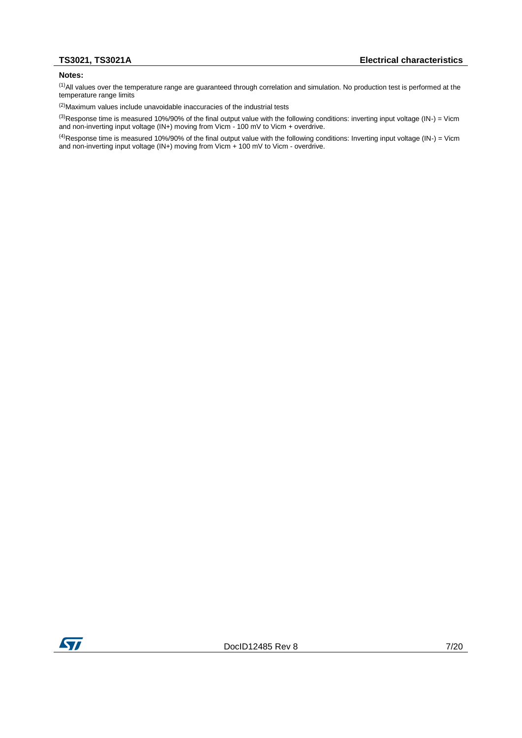### **Notes:**

<span id="page-6-0"></span>(1)All values over the temperature range are guaranteed through correlation and simulation. No production test is performed at the temperature range limits

<span id="page-6-1"></span>(2)Maximum values include unavoidable inaccuracies of the industrial tests

<span id="page-6-2"></span> $^{(3)}$ Response time is measured 10%/90% of the final output value with the following conditions: inverting input voltage (IN-) = Vicm and non-inverting input voltage (IN+) moving from Vicm - 100 mV to Vicm + overdrive.

<span id="page-6-4"></span><span id="page-6-3"></span> $^{(4)}$ Response time is measured 10%/90% of the final output value with the following conditions: Inverting input voltage (IN-) = Vicm and non-inverting input voltage (IN+) moving from Vicm + 100 mV to Vicm - overdrive.

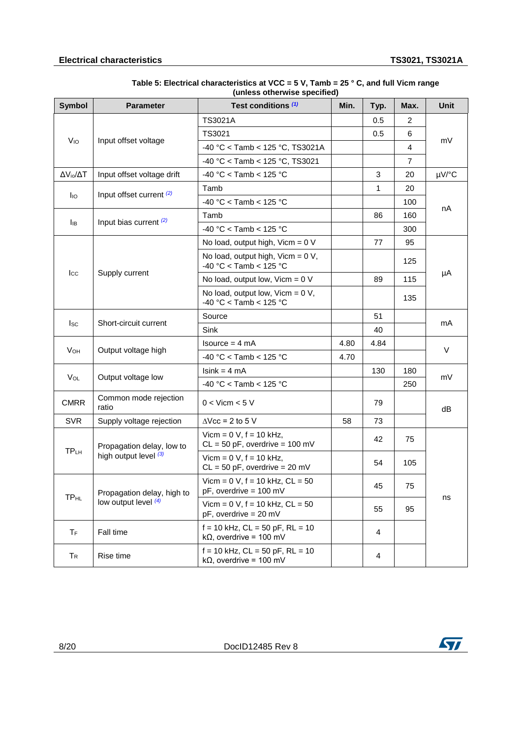| (unless otherwise specified) |                                                    |                                                                                               |      |      |                |             |  |  |
|------------------------------|----------------------------------------------------|-----------------------------------------------------------------------------------------------|------|------|----------------|-------------|--|--|
| <b>Symbol</b>                | <b>Parameter</b>                                   | Test conditions (1)                                                                           | Min. | Typ. | Max.           | <b>Unit</b> |  |  |
|                              |                                                    | TS3021A                                                                                       |      | 0.5  | 2              |             |  |  |
|                              |                                                    | TS3021                                                                                        |      | 0.5  | 6              |             |  |  |
| V <sub>IO</sub>              | Input offset voltage                               | $-40$ °C < Tamb < 125 °C, TS3021A                                                             |      |      | 4              | mV          |  |  |
|                              |                                                    | -40 °C < Tamb < $125$ °C, TS3021                                                              |      |      | $\overline{7}$ |             |  |  |
| $\Delta V_{io}/\Delta T$     | Input offset voltage drift                         | $-40 °C <$ Tamb < 125 °C                                                                      |      | 3    | 20             | µV/°C       |  |  |
|                              |                                                    | Tamb                                                                                          |      | 1    | 20             |             |  |  |
| $I_{IO}$                     | Input offset current (2)                           | $-40 °C <$ Tamb < 125 °C                                                                      |      |      | 100            |             |  |  |
|                              |                                                    | Tamb                                                                                          |      | 86   | 160            | nA          |  |  |
| Iв                           | Input bias current $(2)$                           | $-40$ °C < Tamb < 125 °C                                                                      |      |      | 300            |             |  |  |
|                              |                                                    | No load, output high, $Vicm = 0$ V                                                            |      | 77   | 95             |             |  |  |
|                              | Supply current                                     | No load, output high, $Vicm = 0 V$ ,<br>$-40 °C <$ Tamb < 125 °C                              |      |      | 125            | μA          |  |  |
| $_{\text{Lcc}}$              |                                                    | No load, output low, $Vicm = 0$ V                                                             |      | 89   | 115            |             |  |  |
|                              |                                                    | No load, output low, $Vicm = 0 V$ ,<br>$-40 °C <$ Tamb < 125 °C                               |      |      | 135            |             |  |  |
| $_{\rm lsc}$                 | Short-circuit current                              | Source                                                                                        |      | 51   |                | mA          |  |  |
|                              |                                                    | Sink                                                                                          |      | 40   |                |             |  |  |
|                              | Output voltage high                                | $lsource = 4 mA$                                                                              | 4.80 | 4.84 |                |             |  |  |
| V <sub>OH</sub>              |                                                    | $-40$ °C < Tamb < 125 °C                                                                      | 4.70 |      |                | V           |  |  |
|                              |                                                    | $lsink = 4 mA$                                                                                |      | 130  | 180            |             |  |  |
| <b>V</b> <sub>OL</sub>       | Output voltage low                                 | $-40$ °C < Tamb < 125 °C                                                                      |      |      | 250            | mV          |  |  |
| <b>CMRR</b>                  | Common mode rejection<br>ratio                     | $0 <$ Vicm $<$ 5 V                                                                            |      | 79   |                | dB          |  |  |
| <b>SVR</b>                   | Supply voltage rejection                           | $\Delta$ Vcc = 2 to 5 V                                                                       | 58   | 73   |                |             |  |  |
|                              | Propagation delay, low to<br>high output level (3) | Vicm = $0$ V, $f = 10$ kHz,<br>$CL = 50$ pF, overdrive = 100 mV                               |      | 42   | 75             |             |  |  |
| <b>TPLH</b>                  |                                                    | Vicm = $0 V$ , $f = 10 kHz$ ,<br>$CL = 50$ pF, overdrive = 20 mV                              |      | 54   | 105            |             |  |  |
|                              | Propagation delay, high to                         | Vicm = $0 \text{ V}$ , f = 10 kHz, CL = $50$<br>$pF$ , overdrive = 100 mV                     |      | 45   | 75             |             |  |  |
| <b>TPHL</b>                  | low output level $(4)$                             | Vicm = $0 \text{ V}$ , f = $10 \text{ kHz}$ , CL = $50 \text{ V}$<br>$pF$ , overdrive = 20 mV |      | 55   | 95             | ns          |  |  |
| TF                           | Fall time                                          | $f = 10$ kHz, $CL = 50$ pF, $RL = 10$<br>$k\Omega$ , overdrive = 100 mV                       |      | 4    |                |             |  |  |
| $T_R$                        | Rise time                                          | $f = 10$ kHz, $CL = 50$ pF, $RL = 10$<br>$k\Omega$ , overdrive = 100 mV                       |      | 4    |                |             |  |  |

<span id="page-7-0"></span>

| Table 5: Electrical characteristics at VCC = 5 V, Tamb = 25 $^{\circ}$ C, and full Vicm range |
|-----------------------------------------------------------------------------------------------|
| (unless otherwise specified)                                                                  |

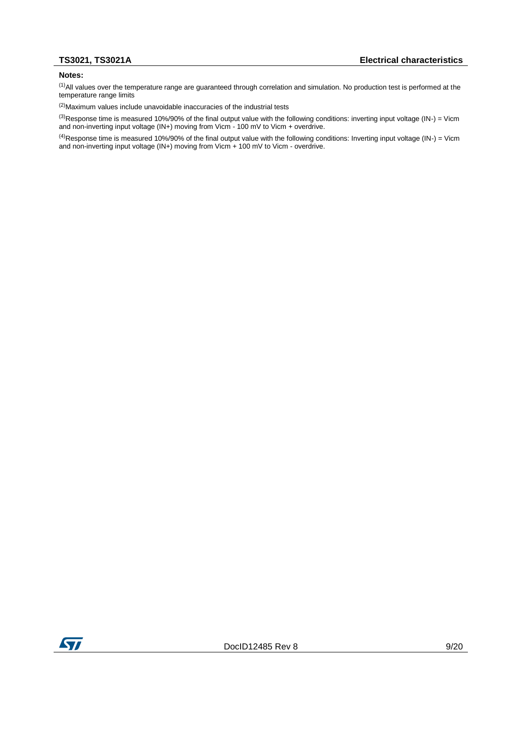### **Notes:**

<span id="page-8-0"></span>(1)All values over the temperature range are guaranteed through correlation and simulation. No production test is performed at the temperature range limits

<span id="page-8-1"></span>(2)Maximum values include unavoidable inaccuracies of the industrial tests

<span id="page-8-2"></span> $^{(3)}$ Response time is measured 10%/90% of the final output value with the following conditions: inverting input voltage (IN-) = Vicm and non-inverting input voltage (IN+) moving from Vicm - 100 mV to Vicm + overdrive.

<span id="page-8-3"></span> $^{(4)}$ Response time is measured 10%/90% of the final output value with the following conditions: Inverting input voltage (IN-) = Vicm and non-inverting input voltage (IN+) moving from Vicm + 100 mV to Vicm - overdrive.

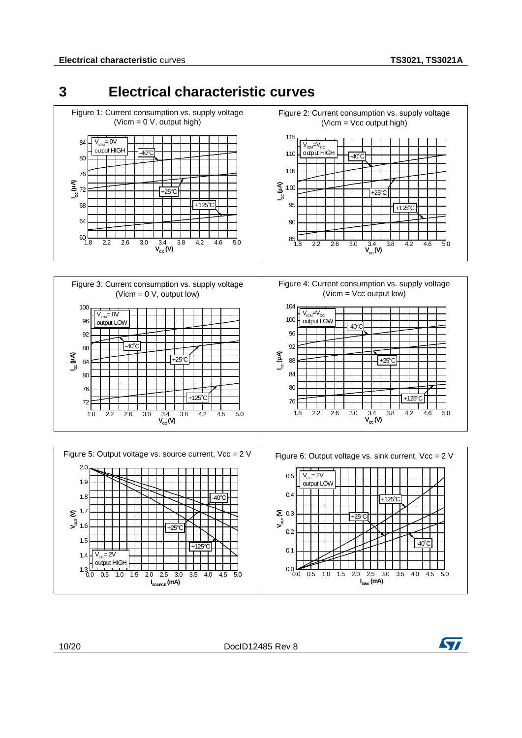## <span id="page-9-0"></span>**3 Electrical characteristic curves**







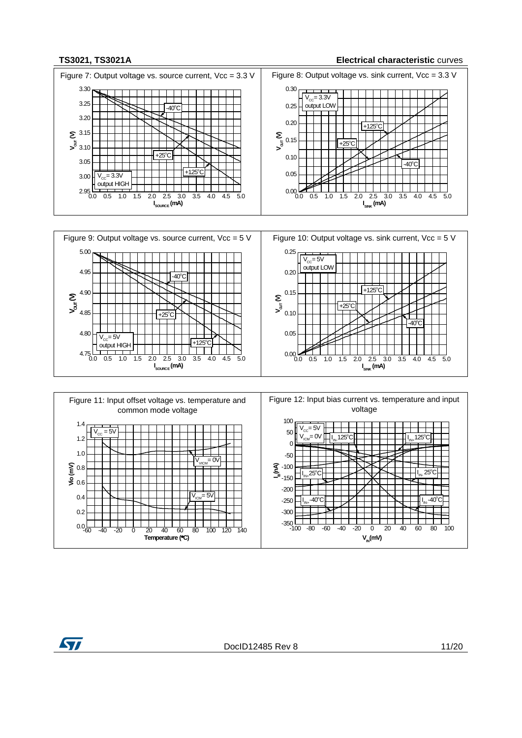### **TS3021, TS3021A Electrical characteristic** curves



ST

DocID12485 Rev 8 11/20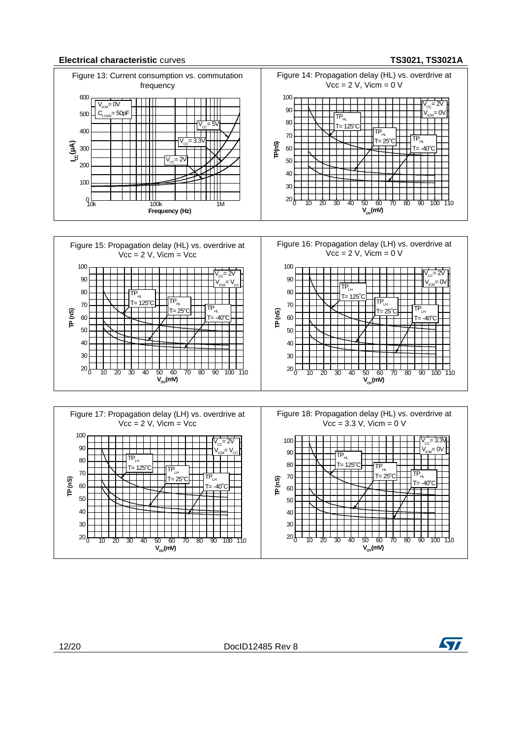



12/20 DocID12485 Rev 8

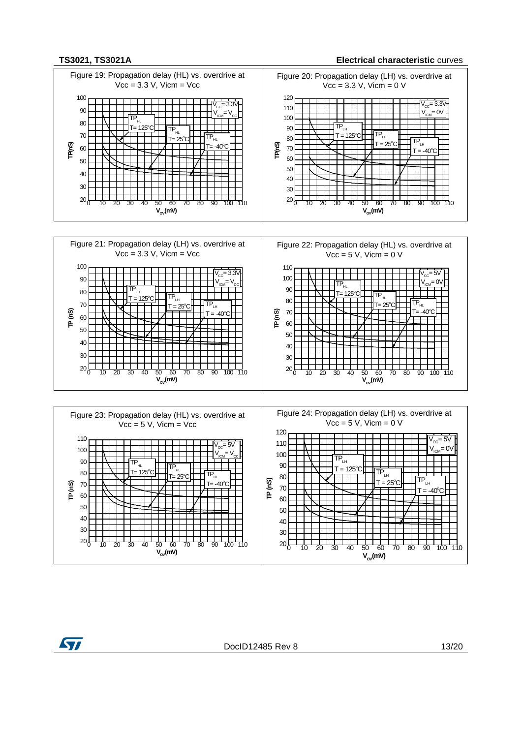### **TS3021, TS3021A Electrical characteristic** curves



ST

DocID12485 Rev 8 13/20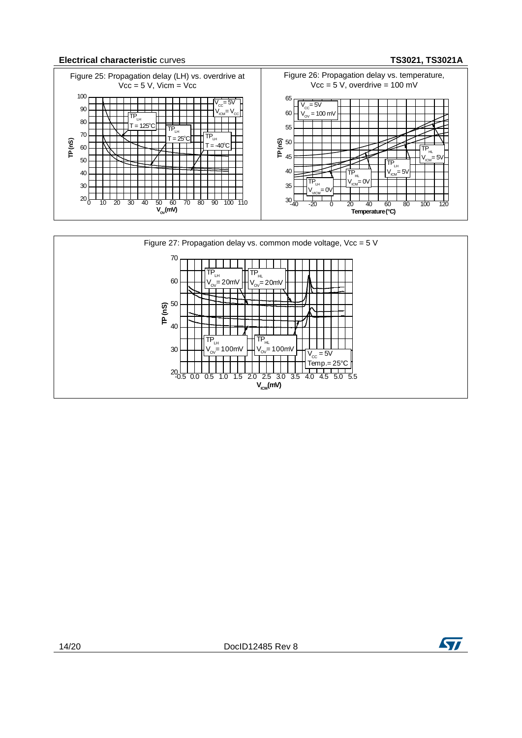### **Electrical characteristic** curves **TS3021, TS3021A**



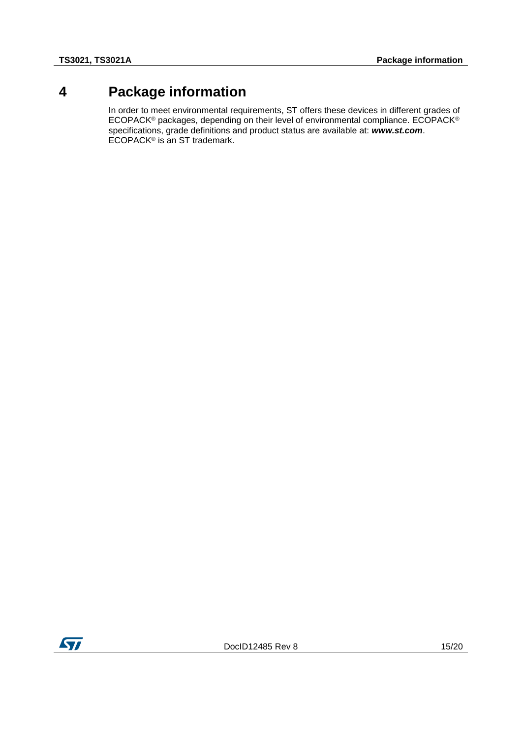## **4 Package information**

<span id="page-14-0"></span>In order to meet environmental requirements, ST offers these devices in different grades of ECOPACK® packages, depending on their level of environmental compliance. ECOPACK® specifications, grade definitions and product status are available at: *www.st.com*. ECOPACK<sup>®</sup> is an ST trademark.

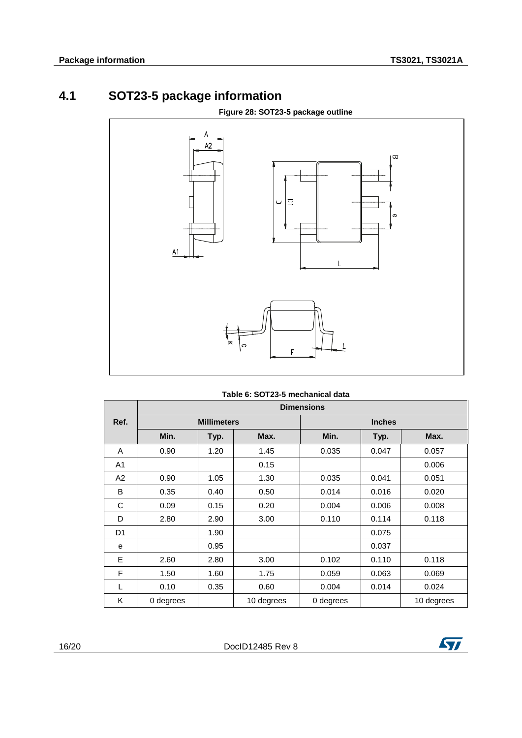## **4.1 SOT23-5 package information**

<span id="page-15-0"></span>

### **Table 6: SOT23-5 mechanical data**

|      | <b>Dimensions</b> |                    |            |           |               |            |  |  |
|------|-------------------|--------------------|------------|-----------|---------------|------------|--|--|
| Ref. |                   | <b>Millimeters</b> |            |           | <b>Inches</b> |            |  |  |
|      | Min.              | Typ.               | Max.       | Min.      | Typ.          | Max.       |  |  |
| A    | 0.90              | 1.20               | 1.45       | 0.035     | 0.047         | 0.057      |  |  |
| A1   |                   |                    | 0.15       |           |               | 0.006      |  |  |
| A2   | 0.90              | 1.05               | 1.30       | 0.035     | 0.041         | 0.051      |  |  |
| B    | 0.35              | 0.40               | 0.50       | 0.014     | 0.016         | 0.020      |  |  |
| C    | 0.09              | 0.15               | 0.20       | 0.004     | 0.006         | 0.008      |  |  |
| D    | 2.80              | 2.90               | 3.00       | 0.110     | 0.114         | 0.118      |  |  |
| D1   |                   | 1.90               |            |           | 0.075         |            |  |  |
| e    |                   | 0.95               |            |           | 0.037         |            |  |  |
| E    | 2.60              | 2.80               | 3.00       | 0.102     | 0.110         | 0.118      |  |  |
| F    | 1.50              | 1.60               | 1.75       | 0.059     | 0.063         | 0.069      |  |  |
| L    | 0.10              | 0.35               | 0.60       | 0.004     | 0.014         | 0.024      |  |  |
| K    | 0 degrees         |                    | 10 degrees | 0 degrees |               | 10 degrees |  |  |

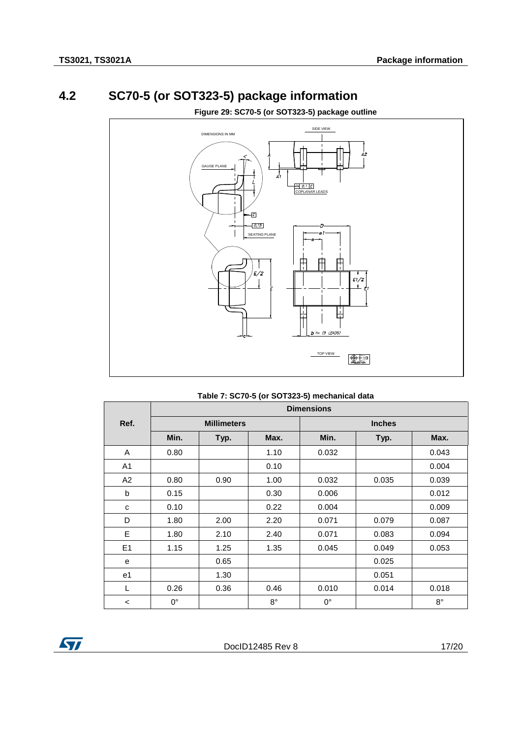## **4.2 SC70-5 (or SOT323-5) package information**

<span id="page-16-0"></span>

**Figure 29: SC70-5 (or SOT323-5) package outline**

| Table 7: SC70-5 (or SOT323-5) mechanical data |
|-----------------------------------------------|
|-----------------------------------------------|

|       | <b>Dimensions</b>  |      |             |               |       |             |  |  |  |
|-------|--------------------|------|-------------|---------------|-------|-------------|--|--|--|
| Ref.  | <b>Millimeters</b> |      |             | <b>Inches</b> |       |             |  |  |  |
|       | Min.               | Typ. | Max.        | Min.          | Typ.  | Max.        |  |  |  |
| A     | 0.80               |      | 1.10        | 0.032         |       | 0.043       |  |  |  |
| A1    |                    |      | 0.10        |               |       | 0.004       |  |  |  |
| A2    | 0.80               | 0.90 | 1.00        | 0.032         | 0.035 | 0.039       |  |  |  |
| b     | 0.15               |      | 0.30        | 0.006         |       | 0.012       |  |  |  |
| C     | 0.10               |      | 0.22        | 0.004         |       | 0.009       |  |  |  |
| D     | 1.80               | 2.00 | 2.20        | 0.071         | 0.079 | 0.087       |  |  |  |
| E     | 1.80               | 2.10 | 2.40        | 0.071         | 0.083 | 0.094       |  |  |  |
| E1    | 1.15               | 1.25 | 1.35        | 0.045         | 0.049 | 0.053       |  |  |  |
| e     |                    | 0.65 |             |               | 0.025 |             |  |  |  |
| e1    |                    | 1.30 |             |               | 0.051 |             |  |  |  |
| L     | 0.26               | 0.36 | 0.46        | 0.010         | 0.014 | 0.018       |  |  |  |
| $\,<$ | $0^{\circ}$        |      | $8^{\circ}$ | $0^{\circ}$   |       | $8^{\circ}$ |  |  |  |

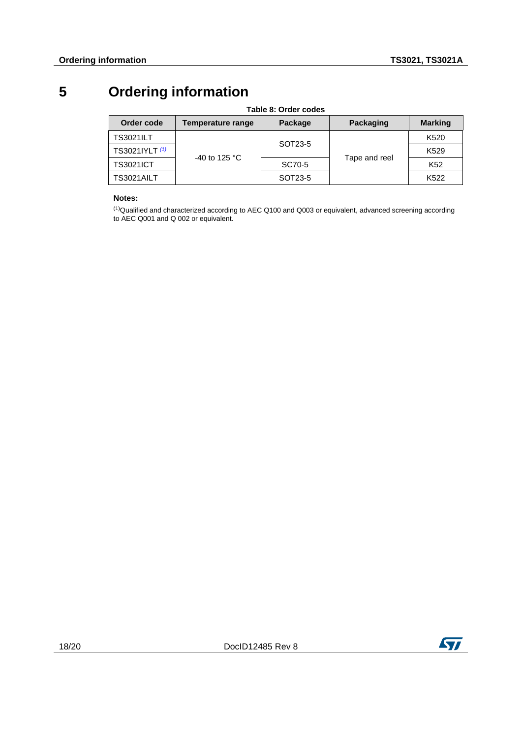## **5 Ordering information**

<span id="page-17-0"></span>

| Table 8: Order codes |                   |         |               |                 |  |
|----------------------|-------------------|---------|---------------|-----------------|--|
| Order code           | Temperature range | Package | Packaging     | <b>Marking</b>  |  |
| <b>TS3021ILT</b>     | -40 to 125 °C     | SOT23-5 | Tape and reel | K520            |  |
| TS3021IYLT (1)       |                   |         |               | K529            |  |
| <b>TS3021ICT</b>     |                   | SC70-5  |               | K <sub>52</sub> |  |
| TS3021AILT           |                   | SOT23-5 |               | K522            |  |

### **Notes:**

<span id="page-17-1"></span> $<sup>(1)</sup>$ Qualified and characterized according to AEC Q100 and Q003 or equivalent, advanced screening according</sup> to AEC Q001 and Q 002 or equivalent.

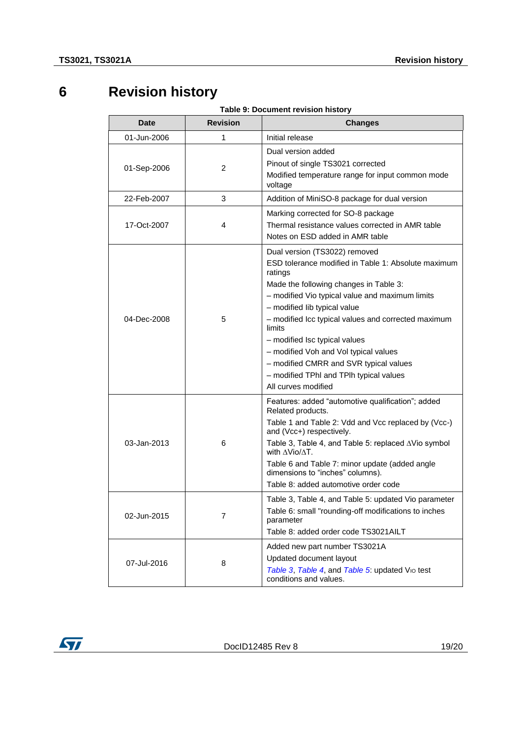## **6 Revision history**

<span id="page-18-0"></span>

| <b>Date</b> | <b>Revision</b> | <b>Changes</b>                                                                                                                                                                                                                                                                                                                                                                                                                                                                      |  |  |
|-------------|-----------------|-------------------------------------------------------------------------------------------------------------------------------------------------------------------------------------------------------------------------------------------------------------------------------------------------------------------------------------------------------------------------------------------------------------------------------------------------------------------------------------|--|--|
| 01-Jun-2006 | 1               | Initial release                                                                                                                                                                                                                                                                                                                                                                                                                                                                     |  |  |
| 01-Sep-2006 | 2               | Dual version added<br>Pinout of single TS3021 corrected<br>Modified temperature range for input common mode<br>voltage                                                                                                                                                                                                                                                                                                                                                              |  |  |
| 22-Feb-2007 | 3               | Addition of MiniSO-8 package for dual version                                                                                                                                                                                                                                                                                                                                                                                                                                       |  |  |
| 17-Oct-2007 | 4               | Marking corrected for SO-8 package<br>Thermal resistance values corrected in AMR table<br>Notes on ESD added in AMR table                                                                                                                                                                                                                                                                                                                                                           |  |  |
| 04-Dec-2008 | 5               | Dual version (TS3022) removed<br>ESD tolerance modified in Table 1: Absolute maximum<br>ratings<br>Made the following changes in Table 3:<br>- modified Vio typical value and maximum limits<br>- modified lib typical value<br>- modified Icc typical values and corrected maximum<br>limits<br>- modified Isc typical values<br>- modified Voh and Vol typical values<br>- modified CMRR and SVR typical values<br>- modified TPhI and TPIh typical values<br>All curves modified |  |  |
| 03-Jan-2013 | 6               | Features: added "automotive qualification"; added<br>Related products.<br>Table 1 and Table 2: Vdd and Vcc replaced by (Vcc-)<br>and (Vcc+) respectively.<br>Table 3, Table 4, and Table 5: replaced ∆Vio symbol<br>with AVio/AT.<br>Table 6 and Table 7: minor update (added angle<br>dimensions to "inches" columns).<br>Table 8: added automotive order code                                                                                                                     |  |  |
| 02-Jun-2015 | 7               | Table 3, Table 4, and Table 5: updated Vio parameter<br>Table 6: small "rounding-off modifications to inches<br>parameter<br>Table 8: added order code TS3021AILT                                                                                                                                                                                                                                                                                                                   |  |  |
| 07-Jul-2016 | 8               | Added new part number TS3021A<br>Updated document layout<br>Table 3, Table 4, and Table 5: updated V <sub>IO</sub> test<br>conditions and values.                                                                                                                                                                                                                                                                                                                                   |  |  |

**Table 9: Document revision history**